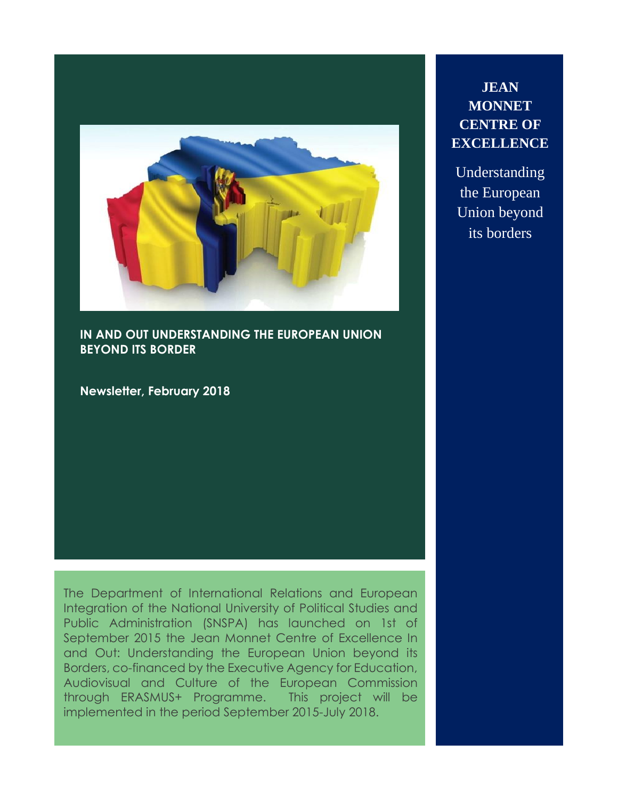

**IN AND OUT UNDERSTANDING THE EUROPEAN UNION BEYOND ITS BORDER**

**Newsletter, February 2018**

The Department of International Relations and European Integration of the National University of Political Studies and Public Administration (SNSPA) has launched on 1st of September 2015 the Jean Monnet Centre of Excellence In and Out: Understanding the European Union beyond its Borders, co-financed by the Executive Agency for Education, Audiovisual and Culture of the European Commission through ERASMUS+ Programme. This project will be implemented in the period September 2015-July 2018.

# **JEAN MONNET CENTRE OF EXCELLENCE**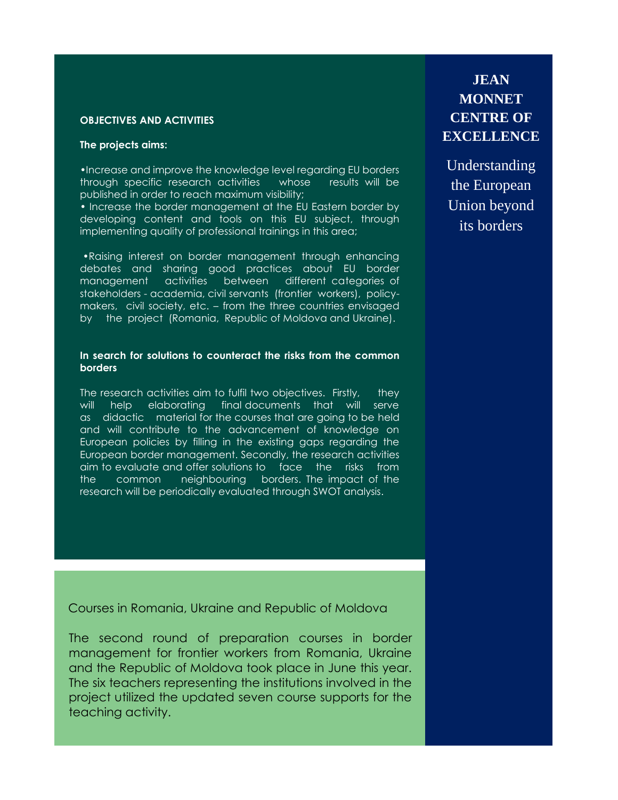## **OBJECTIVES AND ACTIVITIES**

## **The projects aims:**

•Increase and improve the knowledge level regarding EU borders through specific research activities whose results will be published in order to reach maximum visibility;

• Increase the border management at the EU Eastern border by developing content and tools on this EU subject, through implementing quality of professional trainings in this area;

•Raising interest on border management through enhancing debates and sharing good practices about EU border management activities between different categories of stakeholders - academia, civil servants (frontier workers), policymakers, civil society, etc. – from the three countries envisaged by the project (Romania, Republic of Moldova and Ukraine).

### **In search for solutions to counteract the risks from the common borders**

The research activities aim to fulfil two objectives. Firstly, they will help elaborating final documents that will serve as didactic material for the courses that are going to be held and will contribute to the advancement of knowledge on European policies by filling in the existing gaps regarding the European border management. Secondly, the research activities aim to evaluate and offer solutions to face the risks from the common neighbouring borders. The impact of the research will be periodically evaluated through SWOT analysis.

Courses in Romania, Ukraine and Republic of Moldova

The second round of preparation courses in border management for frontier workers from Romania, Ukraine and the Republic of Moldova took place in June this year. The six teachers representing the institutions involved in the project utilized the updated seven course supports for the teaching activity.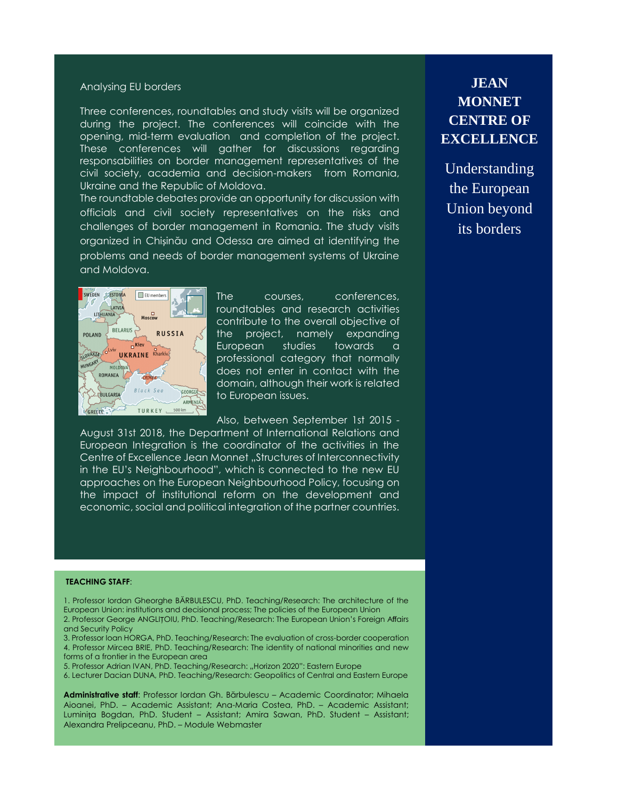### Analysing EU borders

Three conferences, roundtables and study visits will be organized during the project. The conferences will coincide with the opening, mid-term evaluation and completion of the project. These conferences will gather for discussions regarding responsabilities on border management representatives of the civil society, academia and decision-makers from Romania, Ukraine and the Republic of Moldova.

The roundtable debates provide an opportunity for discussion with officials and civil society representatives on the risks and challenges of border management in Romania. The study visits organized in Chișinău and [Odessa](https://en.wikipedia.org/wiki/Chernivtsi) are aimed at identifying the problems and needs of border management systems of Ukraine and Moldova.



The courses, conferences, roundtables and research activities contribute to the overall objective of the project, namely expanding European studies towards a professional category that normally does not enter in contact with the domain, although their work is related to European issues.

Also, between September 1st 2015 -

August 31st 2018, the Department of International Relations and European Integration is the coordinator of the activities in the Centre of Excellence Jean Monnet "Structures of Interconnectivity in the EU's Neighbourhood", which is connected to the new EU approaches on the European Neighbourhood Policy, focusing on the impact of institutional reform on the development and economic, social and political integration of the partner countries.

# **JEAN MONNET CENTRE OF EXCELLENCE**

Understanding the European Union beyond its borders

#### **TEACHING STAFF**:

1. Professor Iordan Gheorghe BĂRBULESCU, PhD. Teaching/Research: The architecture of the European Union: institutions and decisional process; The policies of the European Union 2. Professor George ANGLIȚOIU, PhD. Teaching/Research: The European Union's Foreign Affairs

and Security Policy 3. Professor Ioan HORGA, PhD. Teaching/Research: The evaluation of cross-border cooperation

4. Professor Mircea BRIE, PhD. Teaching/Research: The identity of national minorities and new forms of a frontier in the European area

5. Professor Adrian IVAN, PhD. Teaching/Research: "Horizon 2020": Eastern Europe

6. Lecturer Dacian DUNA, PhD. Teaching/Research: Geopolitics of Central and Eastern Europe

**Administrative staff**: Professor Iordan Gh. Bărbulescu – Academic Coordinator; Mihaela Aioanei, PhD. – Academic Assistant; Ana-Maria Costea, PhD. – Academic Assistant; Luminița Bogdan, PhD. Student – Assistant; Amira Sawan, PhD. Student – Assistant; Alexandra Prelipceanu, PhD. – Module Webmaster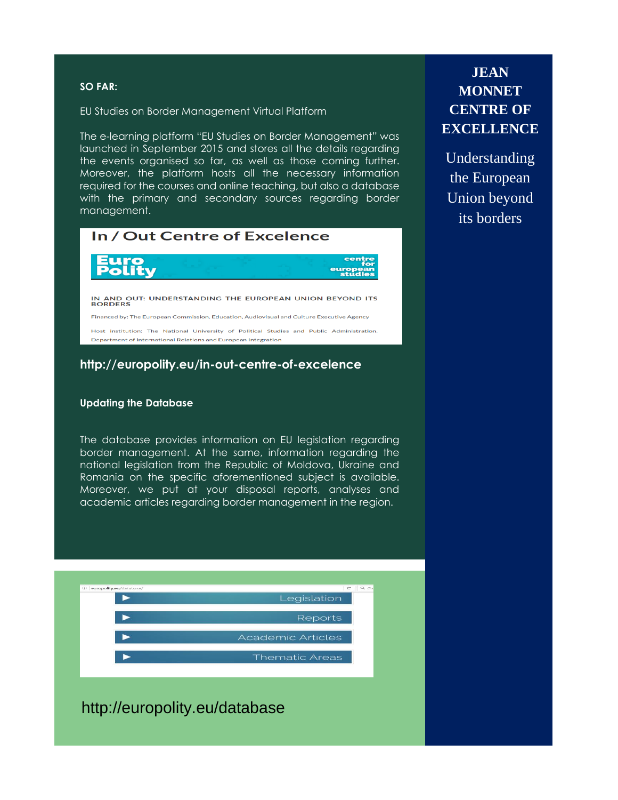## **SO FAR:**

EU Studies on Border Management Virtual Platform

The e-learning platform "EU Studies on Border Management" was launched in September 2015 and stores all the details regarding the events organised so far, as well as those coming further. Moreover, the platform hosts all the necessary information required for the courses and online teaching, but also a database with the primary and secondary sources regarding border management.

| In / Out Centre of Excelence                                                                                                                                |
|-------------------------------------------------------------------------------------------------------------------------------------------------------------|
| <b>Euro</b><br><b>Polity</b><br>centre<br>for<br>european<br>studies                                                                                        |
| IN AND OUT: UNDERSTANDING THE EUROPEAN UNION BEYOND ITS<br><b>BORDERS</b>                                                                                   |
| Financed by: The European Commission, Education, Audiovisual and Culture Executive Agency                                                                   |
| Host institution: The National University of Political Studies and Public Administration,<br>Department of International Relations and European Integration |

# **http://europolity.eu/in-out-centre-of-excelence**

### **Updating the Database**

The database provides information on EU legislation regarding border management. At the same, information regarding the national legislation from the Republic of Moldova, Ukraine and Romania on the specific aforementioned subject is available. Moreover, we put at your disposal reports, analyses and academic articles regarding border management in the region.



http://europolity.eu/database

# **JEAN MONNET CENTRE OF EXCELLENCE**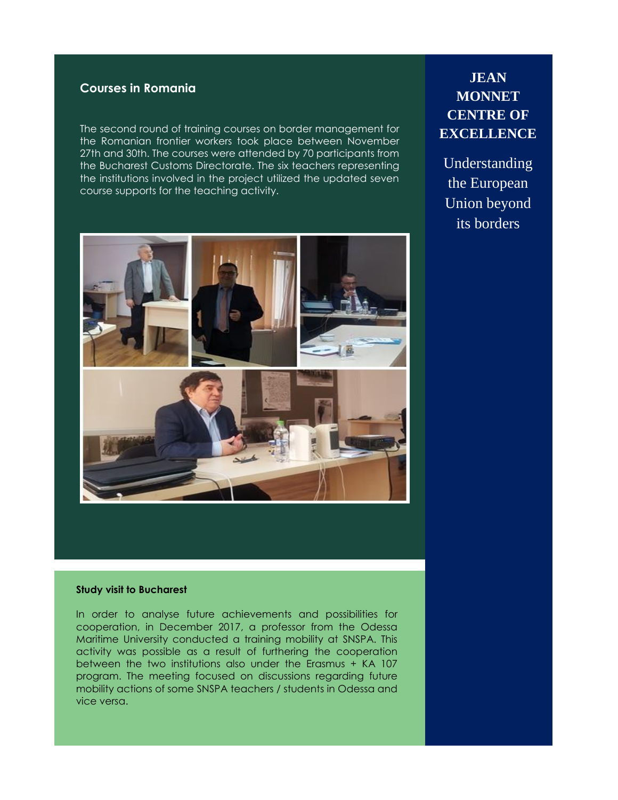# **Courses in Romania**

The second round of training courses on border management for the Romanian frontier workers took place between November 27th and 30th. The courses were attended by 70 participants from the Bucharest Customs Directorate. The six teachers representing the institutions involved in the project utilized the updated seven course supports for the teaching activity.



# **JEAN MONNET CENTRE OF EXCELLENCE**

Understanding the European Union beyond its borders

#### **Study visit to Bucharest**

In order to analyse future achievements and possibilities for cooperation, in December 2017, a professor from the Odessa Maritime University conducted a training mobility at SNSPA. This activity was possible as a result of furthering the cooperation between the two institutions also under the Erasmus + KA 107 program. The meeting focused on discussions regarding future mobility actions of some SNSPA teachers / students in Odessa and vice versa.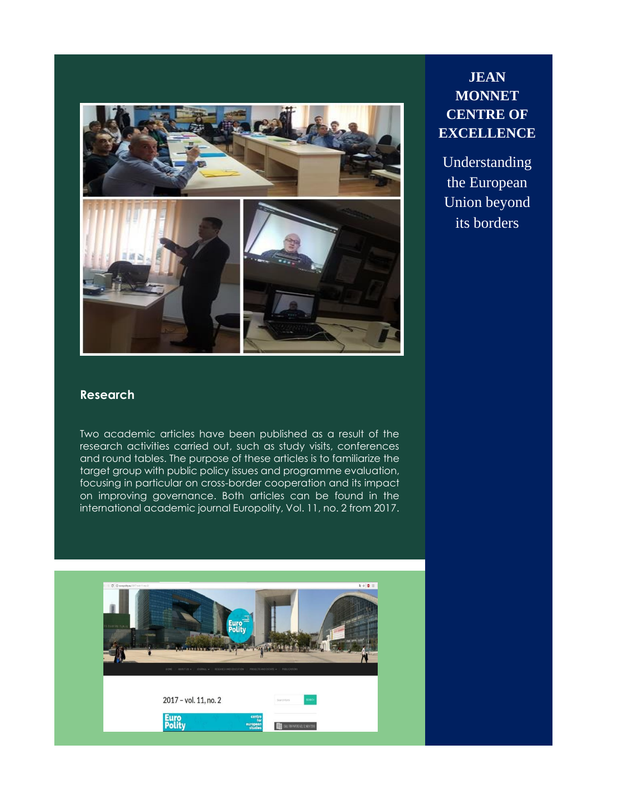

# **JEAN MONNET CENTRE OF EXCELLENCE**

Understanding the European Union beyond its borders

# **Research**

Two academic articles have been published as a result of the research activities carried out, such as study visits, conferences and round tables. The purpose of these articles is to familiarize the target group with public policy issues and programme evaluation, focusing in particular on cross-border cooperation and its impact on improving governance. Both articles can be found in the international academic journal Europolity, Vol. 11, no. 2 from 2017.

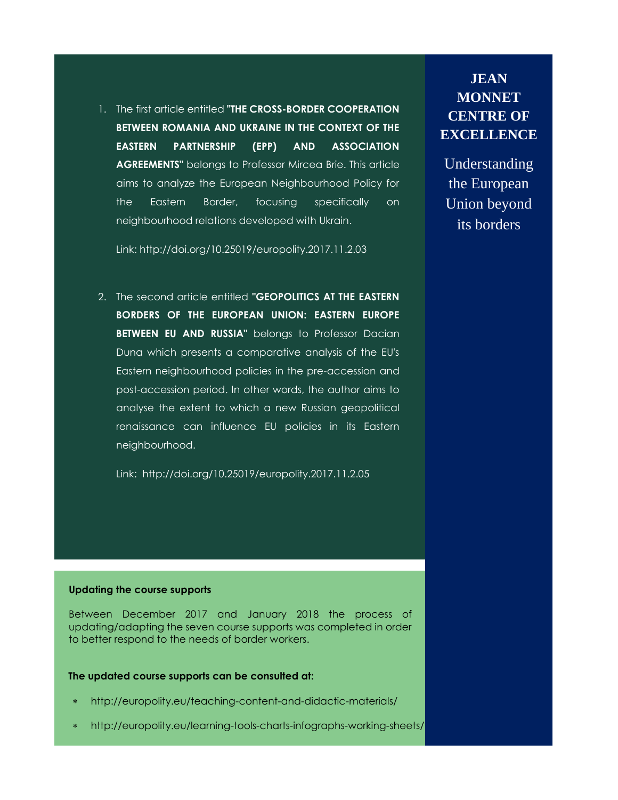1. The first article entitled **"THE CROSS-BORDER COOPERATION BETWEEN ROMANIA AND UKRAINE IN THE CONTEXT OF THE EASTERN PARTNERSHIP (EPP) AND ASSOCIATION AGREEMENTS"** belongs to Professor Mircea Brie. This article aims to analyze the European Neighbourhood Policy for the Eastern Border, focusing specifically on neighbourhood relations developed with Ukrain.

**JEAN MONNET CENTRE OF EXCELLENCE**

Understanding the European Union beyond its borders

Link:<http://doi.org/10.25019/europolity.2017.11.2.03>

2. The second article entitled **"GEOPOLITICS AT THE EASTERN BORDERS OF THE EUROPEAN UNION: EASTERN EUROPE BETWEEN EU AND RUSSIA"** belongs to Professor Dacian Duna which presents a comparative analysis of the EU's Eastern neighbourhood policies in the pre-accession and post-accession period. In other words, the author aims to analyse the extent to which a new Russian geopolitical renaissance can influence EU policies in its Eastern neighbourhood.

Link: <http://doi.org/10.25019/europolity.2017.11.2.05>

### **Updating the course supports**

Between December 2017 and January 2018 the process of updating/adapting the seven course supports was completed in order to better respond to the needs of border workers.

### **The updated course supports can be consulted at:**

- <http://europolity.eu/teaching-content-and-didactic-materials/>
- <http://europolity.eu/learning-tools-charts-infographs-working-sheets/>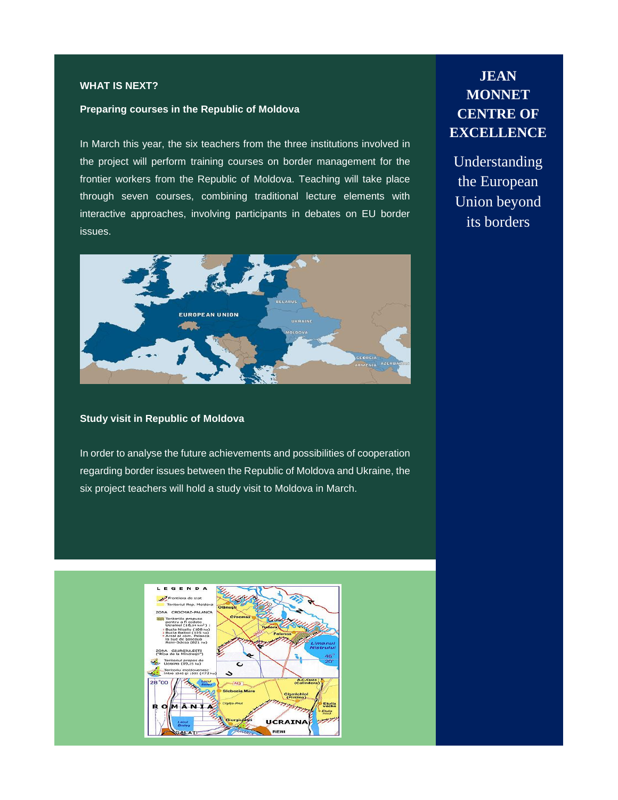## **WHAT IS NEXT?**

#### **Preparing courses in the Republic of Moldova**

In March this year, the six teachers from the three institutions involved in the project will perform training courses on border management for the frontier workers from the Republic of Moldova. Teaching will take place through seven courses, combining traditional lecture elements with interactive approaches, involving participants in debates on EU border issues.



### **Study visit in Republic of Moldova**

In order to analyse the future achievements and possibilities of cooperation regarding border issues between the Republic of Moldova and Ukraine, the six project teachers will hold a study visit to Moldova in March.



# **JEAN MONNET CENTRE OF EXCELLENCE**